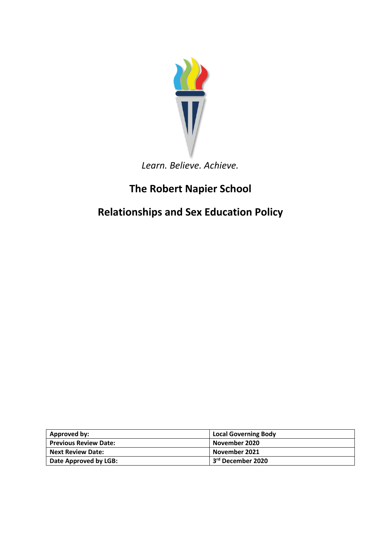

# *Learn. Believe. Achieve.*

# **The Robert Napier School**

# **Relationships and Sex Education Policy**

| Approved by:                 | <b>Local Governing Body</b> |
|------------------------------|-----------------------------|
| <b>Previous Review Date:</b> | November 2020               |
| <b>Next Review Date:</b>     | November 2021               |
| Date Approved by LGB:        | 3rd December 2020           |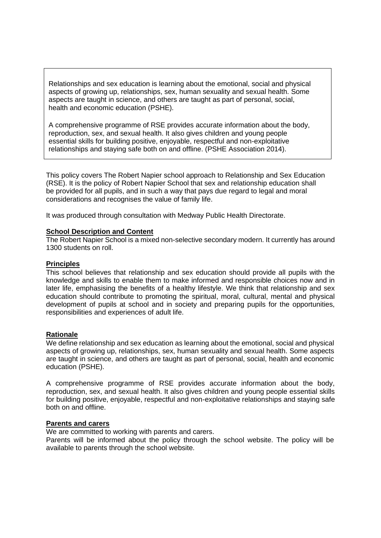Relationships and sex education is learning about the emotional, social and physical aspects of growing up, relationships, sex, human sexuality and sexual health. Some aspects are taught in science, and others are taught as part of personal, social, health and economic education (PSHE).

A comprehensive programme of RSE provides accurate information about the body, reproduction, sex, and sexual health. It also gives children and young people essential skills for building positive, enjoyable, respectful and non-exploitative relationships and staying safe both on and offline. (PSHE Association 2014).

This policy covers The Robert Napier school approach to Relationship and Sex Education (RSE). It is the policy of Robert Napier School that sex and relationship education shall be provided for all pupils, and in such a way that pays due regard to legal and moral considerations and recognises the value of family life.

It was produced through consultation with Medway Public Health Directorate.

#### **School Description and Content**

The Robert Napier School is a mixed non-selective secondary modern. It currently has around 1300 students on roll.

#### **Principles**

This school believes that relationship and sex education should provide all pupils with the knowledge and skills to enable them to make informed and responsible choices now and in later life, emphasising the benefits of a healthy lifestyle. We think that relationship and sex education should contribute to promoting the spiritual, moral, cultural, mental and physical development of pupils at school and in society and preparing pupils for the opportunities, responsibilities and experiences of adult life.

#### **Rationale**

We define relationship and sex education as learning about the emotional, social and physical aspects of growing up, relationships, sex, human sexuality and sexual health. Some aspects are taught in science, and others are taught as part of personal, social, health and economic education (PSHE).

A comprehensive programme of RSE provides accurate information about the body, reproduction, sex, and sexual health. It also gives children and young people essential skills for building positive, enjoyable, respectful and non-exploitative relationships and staying safe both on and offline.

#### **Parents and carers**

We are committed to working with parents and carers.

Parents will be informed about the policy through the school website. The policy will be available to parents through the school website.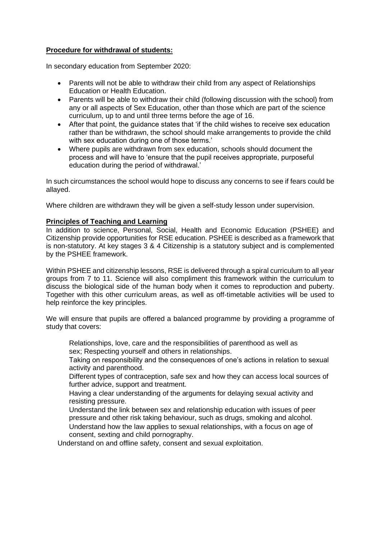## **Procedure for withdrawal of students:**

In secondary education from September 2020:

- Parents will not be able to withdraw their child from any aspect of Relationships Education or Health Education.
- Parents will be able to withdraw their child (following discussion with the school) from any or all aspects of Sex Education, other than those which are part of the science curriculum, up to and until three terms before the age of 16.
- After that point, the guidance states that 'if the child wishes to receive sex education rather than be withdrawn, the school should make arrangements to provide the child with sex education during one of those terms.'
- Where pupils are withdrawn from sex education, schools should document the process and will have to 'ensure that the pupil receives appropriate, purposeful education during the period of withdrawal.'

In such circumstances the school would hope to discuss any concerns to see if fears could be allayed.

Where children are withdrawn they will be given a self-study lesson under supervision.

#### **Principles of Teaching and Learning**

In addition to science, Personal, Social, Health and Economic Education (PSHEE) and Citizenship provide opportunities for RSE education. PSHEE is described as a framework that is non-statutory. At key stages 3 & 4 Citizenship is a statutory subject and is complemented by the PSHEE framework.

Within PSHEE and citizenship lessons, RSE is delivered through a spiral curriculum to all year groups from 7 to 11. Science will also compliment this framework within the curriculum to discuss the biological side of the human body when it comes to reproduction and puberty. Together with this other curriculum areas, as well as off-timetable activities will be used to help reinforce the key principles.

We will ensure that pupils are offered a balanced programme by providing a programme of study that covers:

Relationships, love, care and the responsibilities of parenthood as well as sex; Respecting yourself and others in relationships.

Taking on responsibility and the consequences of one's actions in relation to sexual activity and parenthood.

Different types of contraception, safe sex and how they can access local sources of further advice, support and treatment.

Having a clear understanding of the arguments for delaying sexual activity and resisting pressure.

Understand the link between sex and relationship education with issues of peer pressure and other risk taking behaviour, such as drugs, smoking and alcohol.

Understand how the law applies to sexual relationships, with a focus on age of consent, sexting and child pornography.

Understand on and offline safety, consent and sexual exploitation.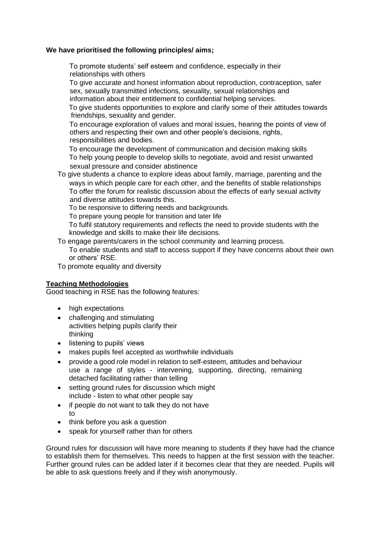## **We have prioritised the following principles/ aims;**

To promote students' self esteem and confidence, especially in their relationships with others

To give accurate and honest information about reproduction, contraception, safer sex, sexually transmitted infections, sexuality, sexual relationships and information about their entitlement to confidential helping services.

To give students opportunities to explore and clarify some of their attitudes towards friendships, sexuality and gender.

To encourage exploration of values and moral issues, hearing the points of view of others and respecting their own and other people's decisions, rights, responsibilities and bodies.

To encourage the development of communication and decision making skills To help young people to develop skills to negotiate, avoid and resist unwanted sexual pressure and consider abstinence

To give students a chance to explore ideas about family, marriage, parenting and the ways in which people care for each other, and the benefits of stable relationships To offer the forum for realistic discussion about the effects of early sexual activity and diverse attitudes towards this.

To be responsive to differing needs and backgrounds.

To prepare young people for transition and later life

To fulfil statutory requirements and reflects the need to provide students with the knowledge and skills to make their life decisions.

To engage parents/carers in the school community and learning process.

To enable students and staff to access support if they have concerns about their own or others' RSE.

To promote equality and diversity

# **Teaching Methodologies**

Good teaching in RSE has the following features:

- high expectations
- challenging and stimulating activities helping pupils clarify their thinking
- listening to pupils' views
- makes pupils feel accepted as worthwhile individuals
- provide a good role model in relation to self-esteem, attitudes and behaviour use a range of styles - intervening, supporting, directing, remaining detached facilitating rather than telling
- setting ground rules for discussion which might include - listen to what other people say
- if people do not want to talk they do not have to
- think before you ask a question
- speak for yourself rather than for others

Ground rules for discussion will have more meaning to students if they have had the chance to establish them for themselves. This needs to happen at the first session with the teacher. Further ground rules can be added later if it becomes clear that they are needed. Pupils will be able to ask questions freely and if they wish anonymously.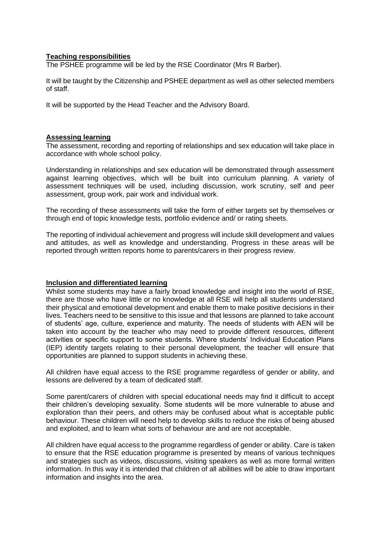#### **Teaching responsibilities**

The PSHEE programme will be led by the RSE Coordinator (Mrs R Barber).

It will be taught by the Citizenship and PSHEE department as well as other selected members of staff.

It will be supported by the Head Teacher and the Advisory Board.

#### **Assessing learning**

The assessment, recording and reporting of relationships and sex education will take place in accordance with whole school policy.

Understanding in relationships and sex education will be demonstrated through assessment against learning objectives, which will be built into curriculum planning. A variety of assessment techniques will be used, including discussion, work scrutiny, self and peer assessment, group work, pair work and individual work.

The recording of these assessments will take the form of either targets set by themselves or through end of topic knowledge tests, portfolio evidence and/ or rating sheets.

The reporting of individual achievement and progress will include skill development and values and attitudes, as well as knowledge and understanding. Progress in these areas will be reported through written reports home to parents/carers in their progress review.

### **Inclusion and differentiated learning**

Whilst some students may have a fairly broad knowledge and insight into the world of RSE. there are those who have little or no knowledge at all RSE will help all students understand their physical and emotional development and enable them to make positive decisions in their lives. Teachers need to be sensitive to this issue and that lessons are planned to take account of students' age, culture, experience and maturity. The needs of students with AEN will be taken into account by the teacher who may need to provide different resources, different activities or specific support to some students. Where students' Individual Education Plans (IEP) identify targets relating to their personal development, the teacher will ensure that opportunities are planned to support students in achieving these.

All children have equal access to the RSE programme regardless of gender or ability, and lessons are delivered by a team of dedicated staff.

Some parent/carers of children with special educational needs may find it difficult to accept their children's developing sexuality. Some students will be more vulnerable to abuse and exploration than their peers, and others may be confused about what is acceptable public behaviour. These children will need help to develop skills to reduce the risks of being abused and exploited, and to learn what sorts of behaviour are and are not acceptable.

All children have equal access to the programme regardless of gender or ability. Care is taken to ensure that the RSE education programme is presented by means of various techniques and strategies such as videos, discussions, visiting speakers as well as more formal written information. In this way it is intended that children of all abilities will be able to draw important information and insights into the area.